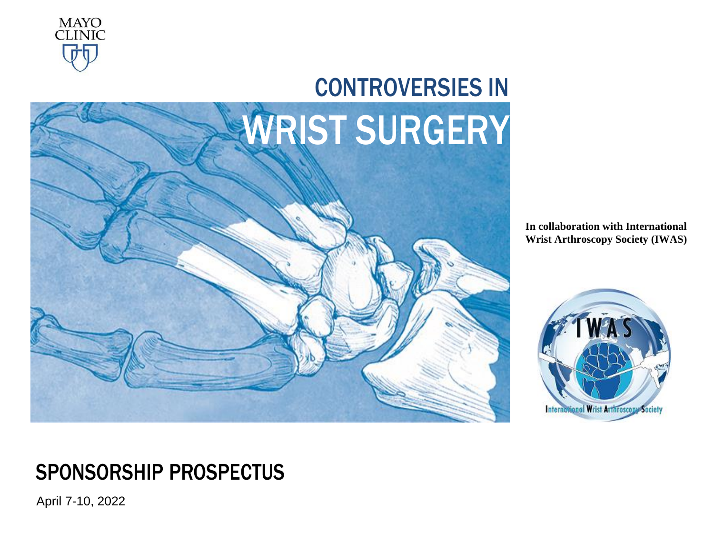



**In collaboration with International Wrist Arthroscopy Society (IWAS)**



# SPONSORSHIP PROSPECTUS

April 7-10, 2022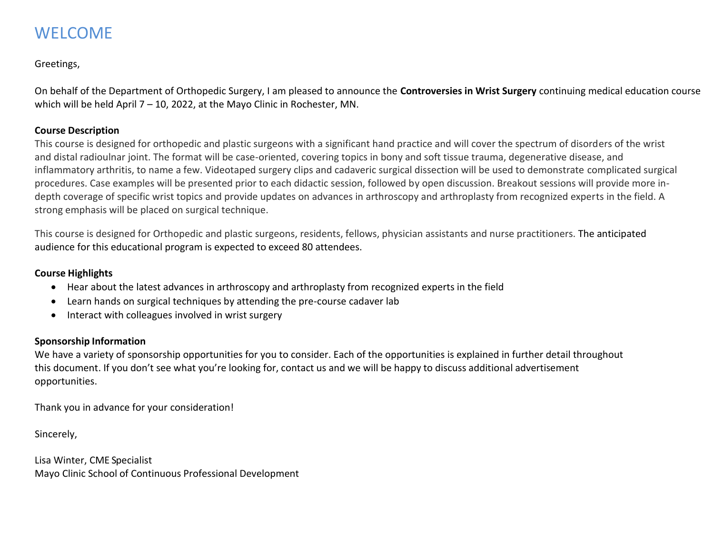# WELCOME

#### Greetings,

On behalf of the Department of Orthopedic Surgery, I am pleased to announce the **Controversies in Wrist Surgery** continuing medical education course which will be held April 7 – 10, 2022, at the Mayo Clinic in Rochester, MN.

#### **Course Description**

This course is designed for orthopedic and plastic surgeons with a significant hand practice and will cover the spectrum of disorders of the wrist and distal radioulnar joint. The format will be case-oriented, covering topics in bony and soft tissue trauma, degenerative disease, and inflammatory arthritis, to name a few. Videotaped surgery clips and cadaveric surgical dissection will be used to demonstrate complicated surgical procedures. Case examples will be presented prior to each didactic session, followed by open discussion. Breakout sessions will provide more indepth coverage of specific wrist topics and provide updates on advances in arthroscopy and arthroplasty from recognized experts in the field. A strong emphasis will be placed on surgical technique.

This course is designed for Orthopedic and plastic surgeons, residents, fellows, physician assistants and nurse practitioners. The anticipated audience for this educational program is expected to exceed 80 attendees.

#### **Course Highlights**

- Hear about the latest advances in arthroscopy and arthroplasty from recognized experts in the field
- Learn hands on surgical techniques by attending the pre-course cadaver lab
- Interact with colleagues involved in wrist surgery

#### **Sponsorship Information**

We have a variety of sponsorship opportunities for you to consider. Each of the opportunities is explained in further detail throughout this document. If you don't see what you're looking for, contact us and we will be happy to discuss additional advertisement opportunities.

Thank you in advance for your consideration!

Sincerely,

Lisa Winter, CME Specialist Mayo Clinic School of Continuous Professional Development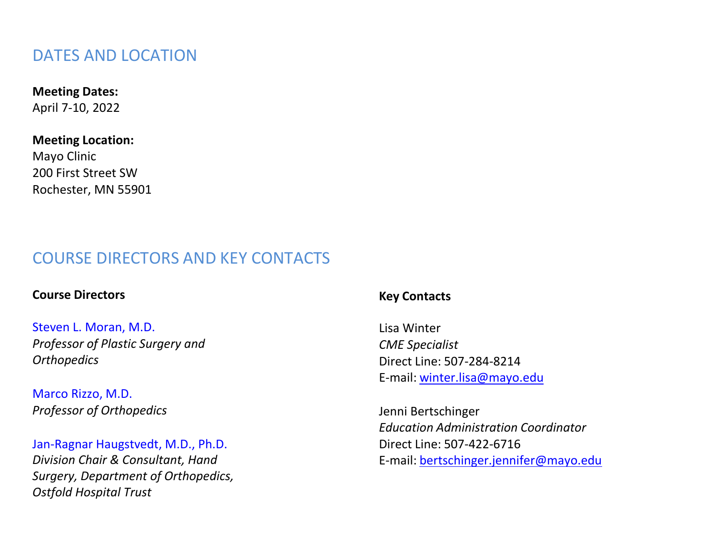### DATES AND LOCATION

### **Meeting Dates:**

April 7-10, 2022

#### **Meeting [Location:](http://www.fairmont.com/orchid-hawaii/)**

Mayo Clinic 200 First Street SW Rochester, MN 55901

# COURSE DIRECTORS AND KEY CONTACTS

### **Course Directors**

Steven L. Moran, M.D. *Professor of Plastic Surgery and Orthopedics*

Marco Rizzo, M.D. *Professor of Orthopedics*

Jan-Ragnar Haugstvedt, M.D., Ph.D. *Division Chair & Consultant, Hand Surgery, Department of Orthopedics, Ostfold Hospital Trust*

#### **Key Contacts**

Lisa Winter *CME Specialist* Direct Line: [507-284-8214](mailto:winter.lisa@mayo.edu) E-mail: [winter.lisa@mayo.edu](mailto:winter.lisa@mayo.edu)

Jenni Bertschinger *Education Administration Coordinator* Direct Line: 507-422-6716 E-mail: [bertschinger.jennifer@mayo.edu](mailto:bertschinger.jennifer@mayo.edu)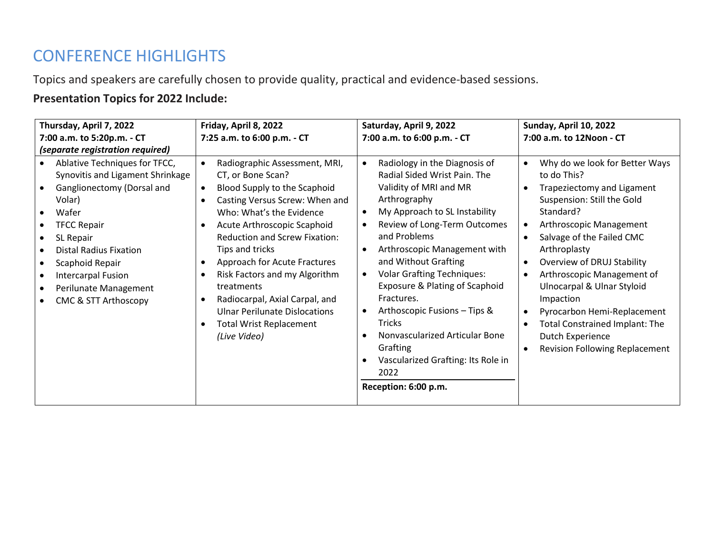# CONFERENCE HIGHLIGHTS

Topics and speakers are carefully chosen to provide quality, practical and evidence-based sessions.

### **Presentation Topics for 2022 Include:**

| Thursday, April 7, 2022                                                                                                                                                                                                                                                                                               | Friday, April 8, 2022                                                                                                                                                                                                                                                                                                                                                                                                                                                                                                  | Saturday, April 9, 2022                                                                                                                                                                                                                                                                                                                                                                                                                                                                                                                                     | Sunday, April 10, 2022                                                                                                                                                                                                                                                                                                                                                                                                                                                                       |
|-----------------------------------------------------------------------------------------------------------------------------------------------------------------------------------------------------------------------------------------------------------------------------------------------------------------------|------------------------------------------------------------------------------------------------------------------------------------------------------------------------------------------------------------------------------------------------------------------------------------------------------------------------------------------------------------------------------------------------------------------------------------------------------------------------------------------------------------------------|-------------------------------------------------------------------------------------------------------------------------------------------------------------------------------------------------------------------------------------------------------------------------------------------------------------------------------------------------------------------------------------------------------------------------------------------------------------------------------------------------------------------------------------------------------------|----------------------------------------------------------------------------------------------------------------------------------------------------------------------------------------------------------------------------------------------------------------------------------------------------------------------------------------------------------------------------------------------------------------------------------------------------------------------------------------------|
| 7:00 a.m. to 5:20p.m. - CT                                                                                                                                                                                                                                                                                            | 7:25 a.m. to 6:00 p.m. - CT                                                                                                                                                                                                                                                                                                                                                                                                                                                                                            | 7:00 a.m. to 6:00 p.m. - CT                                                                                                                                                                                                                                                                                                                                                                                                                                                                                                                                 | 7:00 a.m. to 12Noon - CT                                                                                                                                                                                                                                                                                                                                                                                                                                                                     |
| <i>(separate registration required)</i>                                                                                                                                                                                                                                                                               |                                                                                                                                                                                                                                                                                                                                                                                                                                                                                                                        |                                                                                                                                                                                                                                                                                                                                                                                                                                                                                                                                                             |                                                                                                                                                                                                                                                                                                                                                                                                                                                                                              |
| Ablative Techniques for TFCC,<br>Synovitis and Ligament Shrinkage<br>Ganglionectomy (Dorsal and<br>Volar)<br>Wafer<br>$\bullet$<br><b>TFCC Repair</b><br>SL Repair<br><b>Distal Radius Fixation</b><br>Scaphoid Repair<br>Intercarpal Fusion<br>$\bullet$<br>Perilunate Management<br><b>CMC &amp; STT Arthoscopy</b> | Radiographic Assessment, MRI,<br>$\bullet$<br>CT, or Bone Scan?<br>Blood Supply to the Scaphoid<br>$\bullet$<br>Casting Versus Screw: When and<br>$\bullet$<br>Who: What's the Evidence<br>Acute Arthroscopic Scaphoid<br>$\bullet$<br><b>Reduction and Screw Fixation:</b><br>Tips and tricks<br>Approach for Acute Fractures<br>$\bullet$<br>Risk Factors and my Algorithm<br>treatments<br>Radiocarpal, Axial Carpal, and<br><b>Ulnar Perilunate Dislocations</b><br><b>Total Wrist Replacement</b><br>(Live Video) | Radiology in the Diagnosis of<br>$\bullet$<br>Radial Sided Wrist Pain. The<br>Validity of MRI and MR<br>Arthrography<br>My Approach to SL Instability<br>$\bullet$<br>Review of Long-Term Outcomes<br>and Problems<br>Arthroscopic Management with<br>$\bullet$<br>and Without Grafting<br><b>Volar Grafting Techniques:</b><br>٠<br>Exposure & Plating of Scaphoid<br>Fractures.<br>Arthoscopic Fusions - Tips &<br>٠<br><b>Tricks</b><br>Nonvascularized Articular Bone<br>Grafting<br>Vascularized Grafting: Its Role in<br>2022<br>Reception: 6:00 p.m. | Why do we look for Better Ways<br>$\bullet$<br>to do This?<br>Trapeziectomy and Ligament<br>Suspension: Still the Gold<br>Standard?<br>Arthroscopic Management<br>$\bullet$<br>Salvage of the Failed CMC<br>Arthroplasty<br>Overview of DRUJ Stability<br>$\bullet$<br>Arthroscopic Management of<br><b>Ulnocarpal &amp; Ulnar Styloid</b><br>Impaction<br>Pyrocarbon Hemi-Replacement<br><b>Total Constrained Implant: The</b><br>Dutch Experience<br><b>Revision Following Replacement</b> |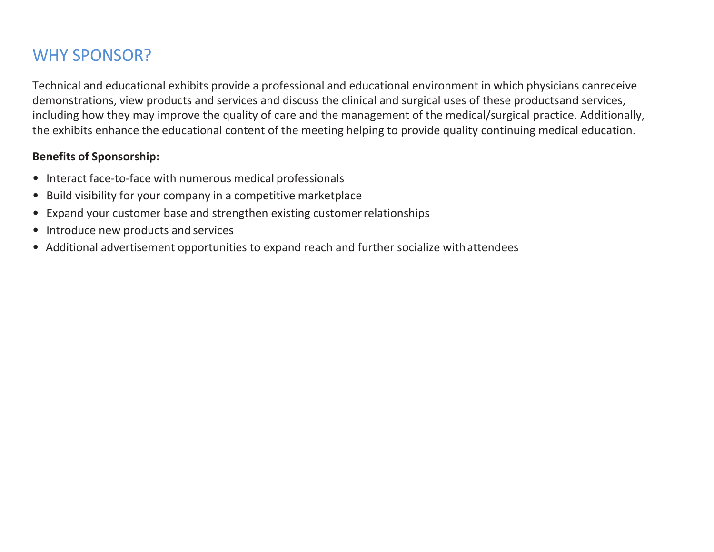# WHY SPONSOR?

Technical and educational exhibits provide a professional and educational environment in which physicians canreceive demonstrations, view products and services and discuss the clinical and surgical uses of these productsand services, including how they may improve the quality of care and the management of the medical/surgical practice. Additionally, the exhibits enhance the educational content of the meeting helping to provide quality continuing medical education.

### **Benefits of Sponsorship:**

- Interact face-to-face with numerous medical professionals
- Build visibility for your company in a competitive marketplace
- Expand your customer base and strengthen existing customer relationships
- Introduce new products and services
- Additional advertisement opportunities to expand reach and further socialize withattendees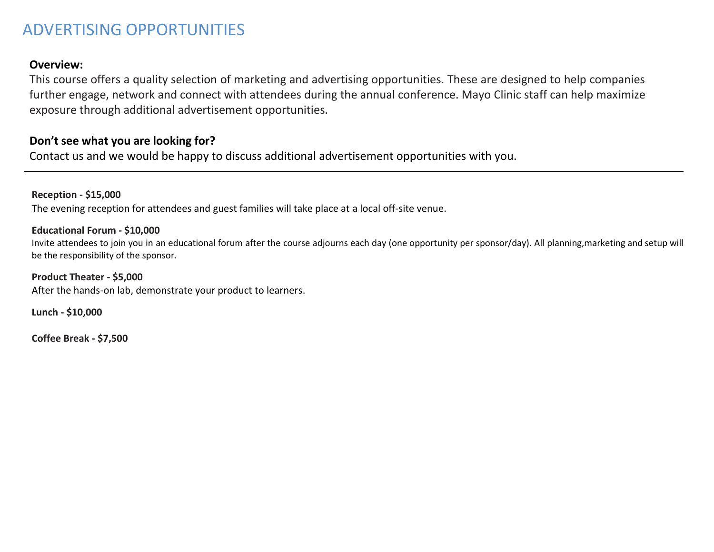## ADVERTISING OPPORTUNITIES

#### **Overview:**

This course offers a quality selection of marketing and advertising opportunities. These are designed to help companies further engage, network and connect with attendees during the annual conference. Mayo Clinic staff can help maximize exposure through additional advertisement opportunities.

#### **Don't see what you are looking for?**

Contact us and we would be happy to discuss additional advertisement opportunities with you.

**Reception - \$15,000** The evening reception for attendees and guest families will take place at a local off-site venue.

#### **Educational Forum - \$10,000**

Invite attendees to join you in an educational forum after the course adjourns each day (one opportunity per sponsor/day). All planning,marketing and setup will be the responsibility of the sponsor.

**Product Theater - \$5,000** After the hands-on lab, demonstrate your product to learners.

**Lunch - \$10,000**

**Coffee Break - \$7,500**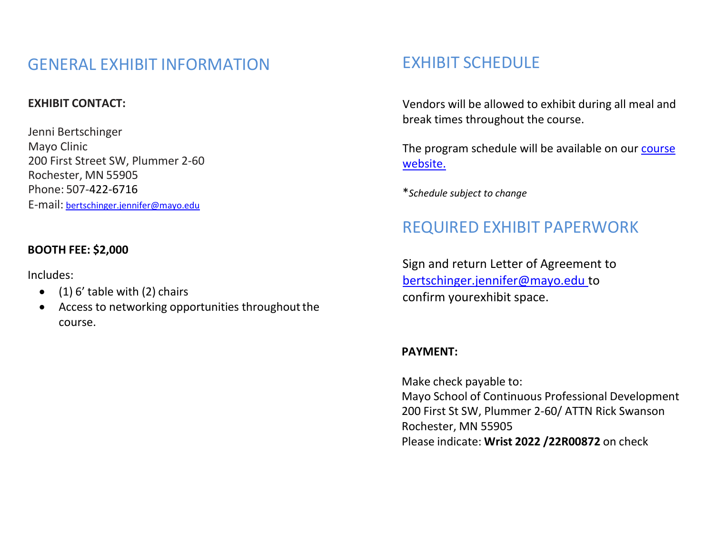## GENERAL EXHIBIT INFORMATION

#### **EXHIBIT CONTACT:**

Jenni Bertschinger Mayo Clinic 200 First Street SW, Plummer 2-60 Rochester, MN 55905 Phone: 507-422-6716 E-mail: [bertschinger.jennifer@mayo.edu](mailto:bertschinger.jennifer@mayo.edu)

#### **BOOTH FEE: \$2,000**

Includes:

- $\bullet$  (1) 6' table with (2) chairs
- Access to networking opportunities throughout the course.

### EXHIBIT SCHEDULE

Vendors will be allowed to exhibit during all meal and break times throughout the course.

[The program schedule will be available on our course](https://ce.mayo.edu/orthopedic-surgery/content/2022-controversies-wrist-surgery#group-tabs-node-course-default1) [website.](https://ce.mayo.edu/orthopedic-surgery/content/2022-controversies-wrist-surgery#group-tabs-node-course-default1)

\**Schedule subject to change*

### REQUIRED EXHIBIT PAPERWORK

Sign and return Letter of Agreement to [bertschinger.jennifer@mayo.edu t](mailto:bertschinger.jennifer@mayo.edu)o confirm yourexhibit space.

#### **PAYMENT:**

Make check payable to: Mayo School of Continuous Professional Development 200 First St SW, Plummer 2-60/ ATTN Rick Swanson Rochester, MN 55905 Please indicate: **Wrist 2022 /22R00872** on check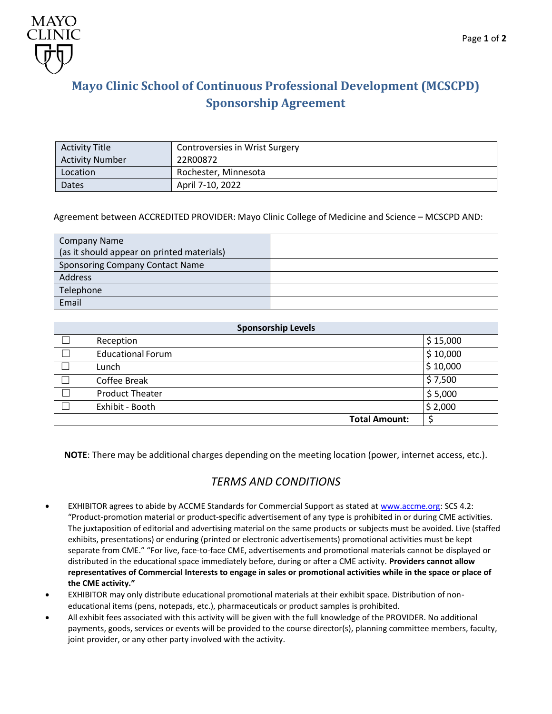

### **Mayo Clinic School of Continuous Professional Development (MCSCPD) Sponsorship Agreement**

| <b>Activity Title</b>  | Controversies in Wrist Surgery |
|------------------------|--------------------------------|
| <b>Activity Number</b> | 22R00872                       |
| Location               | Rochester, Minnesota           |
| Dates                  | April 7-10, 2022               |

#### Agreement between ACCREDITED PROVIDER: Mayo Clinic College of Medicine and Science – MCSCPD AND:

| <b>Company Name</b>                        |                      |          |  |
|--------------------------------------------|----------------------|----------|--|
| (as it should appear on printed materials) |                      |          |  |
| <b>Sponsoring Company Contact Name</b>     |                      |          |  |
| Address                                    |                      |          |  |
| Telephone                                  |                      |          |  |
| Email                                      |                      |          |  |
|                                            |                      |          |  |
| <b>Sponsorship Levels</b>                  |                      |          |  |
| Reception                                  |                      | \$15,000 |  |
| <b>Educational Forum</b>                   |                      | \$10,000 |  |
| Lunch                                      |                      | \$10,000 |  |
| Coffee Break                               |                      | \$7,500  |  |
| <b>Product Theater</b>                     |                      | \$5,000  |  |
| Exhibit - Booth                            |                      | \$2,000  |  |
|                                            | <b>Total Amount:</b> | \$       |  |

**NOTE**: There may be additional charges depending on the meeting location (power, internet access, etc.).

#### *TERMS AND CONDITIONS*

- EXHIBITOR agrees to abide by ACCME Standards for Commercial Support as stated at [www.accme.org: S](http://www.accme.org/)CS 4.2: "Product-promotion material or product-specific advertisement of any type is prohibited in or during CME activities. The juxtaposition of editorial and advertising material on the same products or subjects must be avoided. Live (staffed exhibits, presentations) or enduring (printed or electronic advertisements) promotional activities must be kept separate from CME." "For live, face-to-face CME, advertisements and promotional materials cannot be displayed or distributed in the educational space immediately before, during or after a CME activity. **Providers cannot allow representatives of Commercial Interests to engage in sales or promotional activities while in the space or place of the CME activity."**
- EXHIBITOR may only distribute educational promotional materials at their exhibit space. Distribution of noneducational items (pens, notepads, etc.), pharmaceuticals or product samples is prohibited.
- All exhibit fees associated with this activity will be given with the full knowledge of the PROVIDER. No additional payments, goods, services or events will be provided to the course director(s), planning committee members, faculty, joint provider, or any other party involved with the activity.